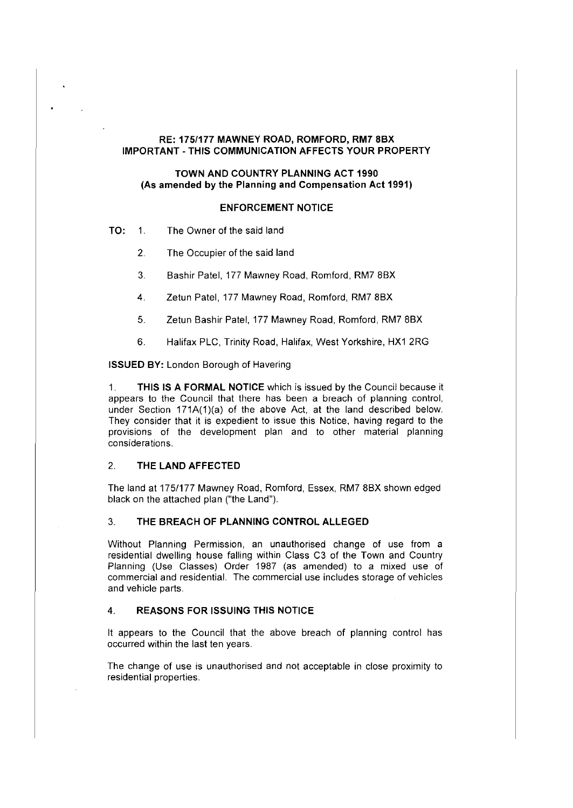# **RE: 175/177 MAWNEY ROAD, ROMFORD, RM7 8BX IMPORTANT-THIS COMMUNICATION AFFECTS YOUR PROPERTY**

# **TOWN AND COUNTRY PLANNING ACT 1990** (As **amended by the Planning and Compensation Act 1991)**

# **ENFORCEMENT NOTICE**

- **TO:** 1. The Owner of the said land
	- 2. The Occupier of the said land
	- 3. Bashir Patel, 177 Mawney Road, Romford, RM? 8BX
	- 4. Zetun Patel, 177 Mawney Road, Romford, RM? 8BX
	- 5. Zetun Bashir Patel, 177 Mawney Road, Romford, RM? 8BX
	- 6. Halifax PLC, Trinity Road, Halifax, West Yorkshire, HX1 2RG

**ISSUED BY:** London Borough of Havering

1. **THIS IS A FORMAL NOTICE** which is issued by the Council because it appears to the Council that there has been a breach of planning control, under Section  $171A(1)(a)$  of the above Act, at the land described below. They consider that it is expedient to issue this Notice, having regard to the provisions of the development plan and to other material planning considerations.

#### 2. **THE LAND AFFECTED**

The land at 175/177 Mawney Road, Romford, Essex, RM? 8BX shown edged black on the attached plan ("the Land").

# 3. **THE BREACH OF PLANNING CONTROL ALLEGED**

Without Planning Permission, an unauthorised change of use from a residential dwelling house falling within Class C3 of the Town and Country Planning (Use Classes) Order 1987 (as amended) to a mixed use of commercial and residential. The commercial use includes storage of vehicles and vehicle parts.

### 4. **REASONS FOR ISSUING THIS NOTICE**

It appears to the Council that the above breach of planning control has occurred within the last ten years.

The change of use is unauthorised and not acceptable in close proximity to residential properties.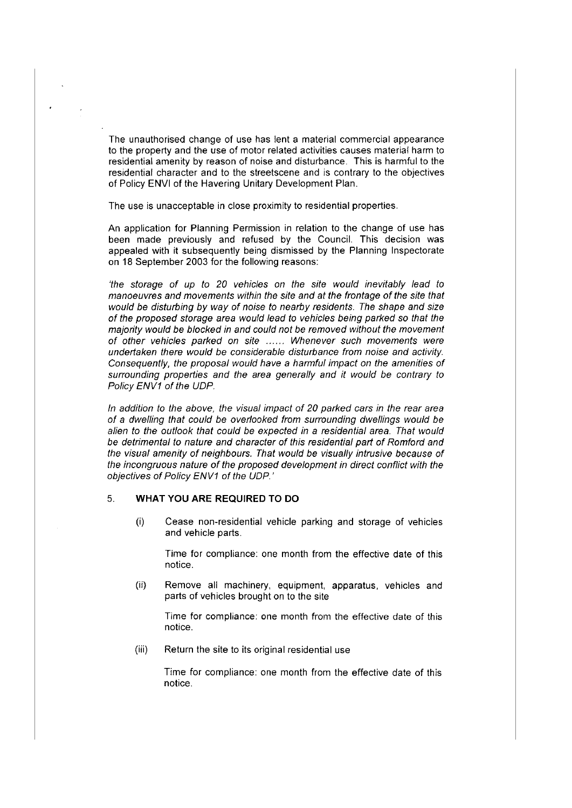The unauthorised change of use has lent a material commercial appearance to the property and the use of motor related activities causes material harm to residential amenity by reason of noise and disturbance. This is harmful to the residential character and to the streetscene and is contrary to the objectives of Policy ENVI of the Havering Unitary Development Plan.

The use is unacceptable in close proximity to residential properties.

An application for Planning Permission in relation to the change of use has been made previously and refused by the Council. This decision was appealed with it subsequently being dismissed by the Planning Inspectorate on 18 September 2003 for the following reasons:

'the storage of up to 20 vehicles on the site would inevitably lead to manoeuvres and movements within the site and at the frontage of the site that would be disturbing by way of noise to nearby residents. The shape and size of the proposed storage area would lead to vehicles being parked so that the majority would be blocked in and could not be removed without the movement of other vehicles parked on site ...... Whenever such movements were undertaken there would be considerable disturbance from noise and activity. Consequently, the proposal would have a harmful impact on the amenities of surrounding properties and the area generally and it would be contrary to Policy ENV1 of the UDP.

In addition to the above, the visual impact of 20 parked cars in the rear area of a dwelling that could be overlooked from surrounding dwellings would be alien to the outlook that could be expected in a residential area. That would be detrimental to nature and character of this residential part of Romford and the visual amenity of neighbours. That would be visually intrusive because of the incongruous nature of the proposed development in direct conflict with the objectives of Policy ENV1 of the UDP.'

## 5. **WHAT YOU ARE REQUIRED TO DO**

(i) Cease non-residential vehicle parking and storage of vehicles and vehicle parts.

Time for compliance: one month from the effective date of this notice.

(ii) Remove all machinery, equipment, apparatus, vehicles and parts of vehicles brought on to the site

Time for compliance: one month from the effective date of this notice.

(iii) Return the site to its original residential use

Time for compliance: one month from the effective date of this notice.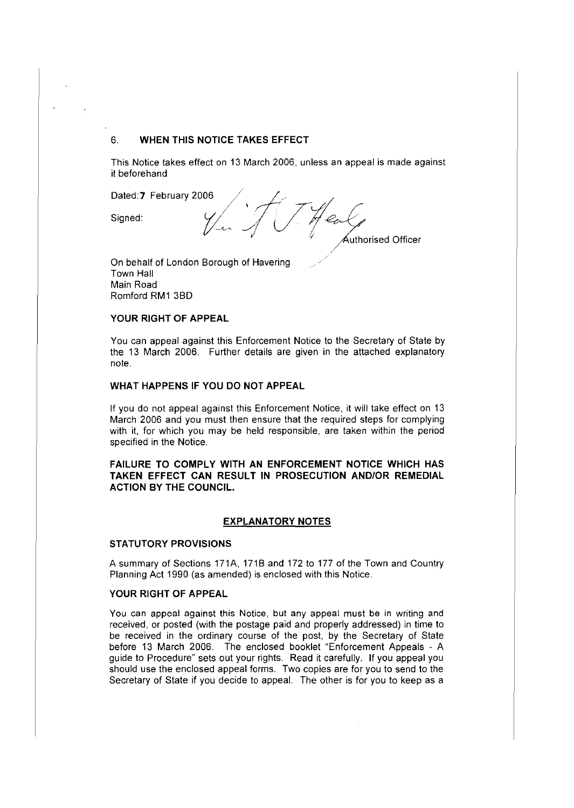## 6. **WHEN THIS NOTICE TAKES EFFECT**

This Notice takes effect on 13 March 2006, unless an appeal is made against it beforehand

Dated: 7 February 2006<br>Signed: Signed:  $\sqrt{\frac{1}{2}}$ Heal, <sup>1</sup> *<sup>i</sup>*~thorised Officer

On behalf of London Borough of Havering Town Hall Main Road Romford RM1 380

### **YOUR RIGHT OF APPEAL**

You can appeal against this Enforcement Notice to the Secretary of State by the 13 March 2006. Further details are given in the attached explanatory note.

### **WHAT HAPPENS IF YOU DO NOT APPEAL**

If you do not appeal against this Enforcement Notice, it will take effect on 13 March 2006 and you must then ensure that the required steps for complying with it, for which you may be held responsible, are taken within the period specified in the Notice.

**FAILURE TO COMPLY WITH AN ENFORCEMENT NOTICE WHICH HAS TAKEN EFFECT CAN RESULT IN PROSECUTION AND/OR REMEDIAL ACTION BY THE COUNCIL.** 

## **EXPLANATORY NOTES**

#### **STATUTORY PROVISIONS**

A summary of Sections 171A, 1718 and 172 to 177 of the Town and Country Planning Act 1990 (as amended) is enclosed with this Notice.

## **YOUR RIGHT OF APPEAL**

You can appeal against this Notice, but any appeal must be in writing and received, or posted (with the postage paid and properly addressed) in time to be received in the ordinary course of the post, by the Secretary of State before 13 March 2006. The enclosed booklet "Enforcement Appeals - A guide to Procedure" sets out your rights. Read it carefully. If you appeal you should use the enclosed appeal forms. Two copies are for you to send to the Secretary of State if you decide to appeal. The other is for you to keep as a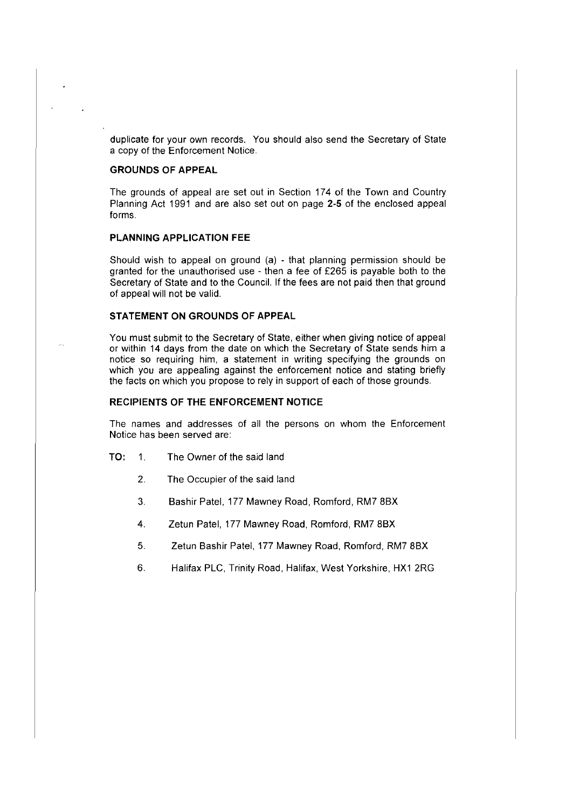duplicate for your own records. You should also send the Secretary of State a copy of the Enforcement Notice.

## **GROUNDS OF APPEAL**

The grounds of appeal are set out in Section 174 of the Town and Country Planning Act 1991 and are also set out on page 2-5 of the enclosed appeal forms.

### **PLANNING APPLICATION FEE**

Should wish to appeal on ground (a) - that planning permission should be granted for the unauthorised use - then a fee of £265 is payable both to the Secretary of State and to the Council. If the fees are not paid then that ground of appeal will not be valid.

## **STATEMENT ON GROUNDS OF APPEAL**

You must submit to the Secretary of State, either when giving notice of appeal or within 14 days from the date on which the Secretary of State sends him a notice so requiring him, a statement in writing specifying the grounds on which you are appealing against the enforcement notice and stating briefly the facts on which you propose to rely in support of each of those grounds.

#### **RECIPIENTS OF THE ENFORCEMENT NOTICE**

The names and addresses of all the persons on whom the Enforcement Notice has been served are:

- TO: 1. The Owner of the said land
	- 2. The Occupier of the said land
	- 3. Bashir Patel, 177 Mawney Road, Romford, RM? 8BX
	- 4. Zetun Patel, 177 Mawney Road, Romford, RM? 8BX
	- 5. Zetun Bashir Patel, 177 Mawney Road, Romford, RM? 8BX
	- 6. Halifax PLC, Trinity Road, Halifax, West Yorkshire, HX1 2RG